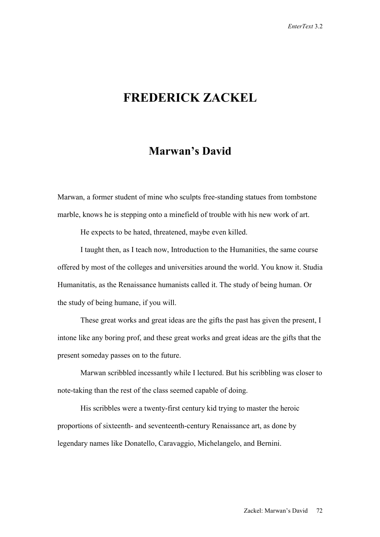## **FREDERICK ZACKEL**

## **Marwan's David**

Marwan, a former student of mine who sculpts free-standing statues from tombstone marble, knows he is stepping onto a minefield of trouble with his new work of art.

He expects to be hated, threatened, maybe even killed.

 I taught then, as I teach now, Introduction to the Humanities, the same course offered by most of the colleges and universities around the world. You know it. Studia Humanitatis, as the Renaissance humanists called it. The study of being human. Or the study of being humane, if you will.

 These great works and great ideas are the gifts the past has given the present, I intone like any boring prof, and these great works and great ideas are the gifts that the present someday passes on to the future.

 Marwan scribbled incessantly while I lectured. But his scribbling was closer to note-taking than the rest of the class seemed capable of doing.

 His scribbles were a twenty-first century kid trying to master the heroic proportions of sixteenth- and seventeenth-century Renaissance art, as done by legendary names like Donatello, Caravaggio, Michelangelo, and Bernini.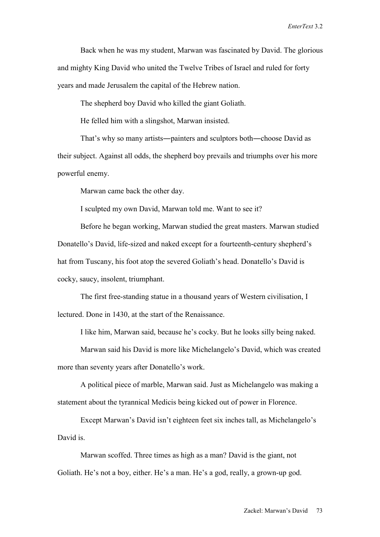Back when he was my student, Marwan was fascinated by David. The glorious and mighty King David who united the Twelve Tribes of Israel and ruled for forty years and made Jerusalem the capital of the Hebrew nation.

The shepherd boy David who killed the giant Goliath.

He felled him with a slingshot, Marwan insisted.

 That's why so many artists―painters and sculptors both―choose David as their subject. Against all odds, the shepherd boy prevails and triumphs over his more powerful enemy.

Marwan came back the other day.

I sculpted my own David, Marwan told me. Want to see it?

 Before he began working, Marwan studied the great masters. Marwan studied Donatello's David, life-sized and naked except for a fourteenth-century shepherd's hat from Tuscany, his foot atop the severed Goliath's head. Donatello's David is cocky, saucy, insolent, triumphant.

 The first free-standing statue in a thousand years of Western civilisation, I lectured. Done in 1430, at the start of the Renaissance.

I like him, Marwan said, because he's cocky. But he looks silly being naked.

 Marwan said his David is more like Michelangelo's David, which was created more than seventy years after Donatello's work.

 A political piece of marble, Marwan said. Just as Michelangelo was making a statement about the tyrannical Medicis being kicked out of power in Florence.

 Except Marwan's David isn't eighteen feet six inches tall, as Michelangelo's David is.

 Marwan scoffed. Three times as high as a man? David is the giant, not Goliath. He's not a boy, either. He's a man. He's a god, really, a grown-up god.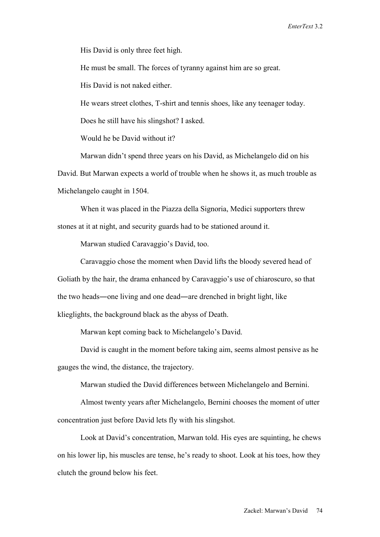His David is only three feet high.

He must be small. The forces of tyranny against him are so great.

His David is not naked either.

He wears street clothes, T-shirt and tennis shoes, like any teenager today.

Does he still have his slingshot? I asked.

Would he be David without it?

Marwan didn't spend three years on his David, as Michelangelo did on his

David. But Marwan expects a world of trouble when he shows it, as much trouble as Michelangelo caught in 1504.

 When it was placed in the Piazza della Signoria, Medici supporters threw stones at it at night, and security guards had to be stationed around it.

Marwan studied Caravaggio's David, too.

 Caravaggio chose the moment when David lifts the bloody severed head of Goliath by the hair, the drama enhanced by Caravaggio's use of chiaroscuro, so that the two heads―one living and one dead―are drenched in bright light, like klieglights, the background black as the abyss of Death.

Marwan kept coming back to Michelangelo's David.

 David is caught in the moment before taking aim, seems almost pensive as he gauges the wind, the distance, the trajectory.

Marwan studied the David differences between Michelangelo and Bernini.

 Almost twenty years after Michelangelo, Bernini chooses the moment of utter concentration just before David lets fly with his slingshot.

 Look at David's concentration, Marwan told. His eyes are squinting, he chews on his lower lip, his muscles are tense, he's ready to shoot. Look at his toes, how they clutch the ground below his feet.